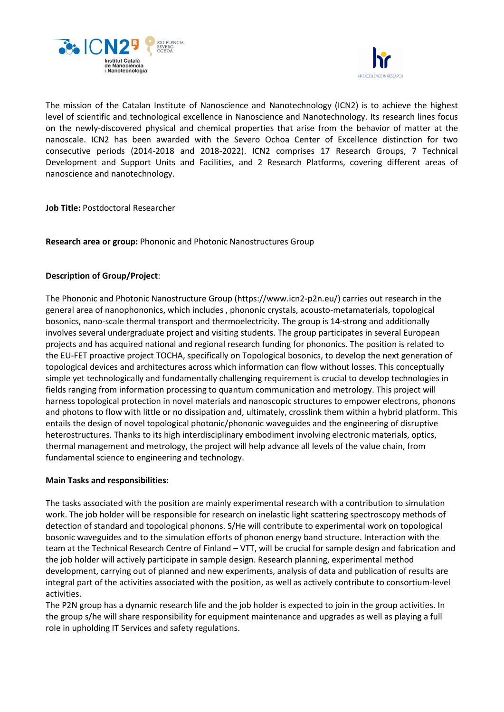



The mission of the Catalan Institute of Nanoscience and Nanotechnology (ICN2) is to achieve the highest level of scientific and technological excellence in Nanoscience and Nanotechnology. Its research lines focus on the newly-discovered physical and chemical properties that arise from the behavior of matter at the nanoscale. ICN2 has been awarded with the Severo Ochoa Center of Excellence distinction for two consecutive periods (2014-2018 and 2018-2022). ICN2 comprises 17 Research Groups, 7 Technical Development and Support Units and Facilities, and 2 Research Platforms, covering different areas of nanoscience and nanotechnology.

**Job Title:** Postdoctoral Researcher

**Research area or group:** Phononic and Photonic Nanostructures Group

# **Description of Group/Project**:

The Phononic and Photonic Nanostructure Group (https://www.icn2-p2n.eu/) carries out research in the general area of nanophononics, which includes , phononic crystals, acousto-metamaterials, topological bosonics, nano-scale thermal transport and thermoelectricity. The group is 14-strong and additionally involves several undergraduate project and visiting students. The group participates in several European projects and has acquired national and regional research funding for phononics. The position is related to the EU-FET proactive project TOCHA, specifically on Topological bosonics, to develop the next generation of topological devices and architectures across which information can flow without losses. This conceptually simple yet technologically and fundamentally challenging requirement is crucial to develop technologies in fields ranging from information processing to quantum communication and metrology. This project will harness topological protection in novel materials and nanoscopic structures to empower electrons, phonons and photons to flow with little or no dissipation and, ultimately, crosslink them within a hybrid platform. This entails the design of novel topological photonic/phononic waveguides and the engineering of disruptive heterostructures. Thanks to its high interdisciplinary embodiment involving electronic materials, optics, thermal management and metrology, the project will help advance all levels of the value chain, from fundamental science to engineering and technology.

### **Main Tasks and responsibilities:**

The tasks associated with the position are mainly experimental research with a contribution to simulation work. The job holder will be responsible for research on inelastic light scattering spectroscopy methods of detection of standard and topological phonons. S/He will contribute to experimental work on topological bosonic waveguides and to the simulation efforts of phonon energy band structure. Interaction with the team at the Technical Research Centre of Finland – VTT, will be crucial for sample design and fabrication and the job holder will actively participate in sample design. Research planning, experimental method development, carrying out of planned and new experiments, analysis of data and publication of results are integral part of the activities associated with the position, as well as actively contribute to consortium-level activities.

The P2N group has a dynamic research life and the job holder is expected to join in the group activities. In the group s/he will share responsibility for equipment maintenance and upgrades as well as playing a full role in upholding IT Services and safety regulations.